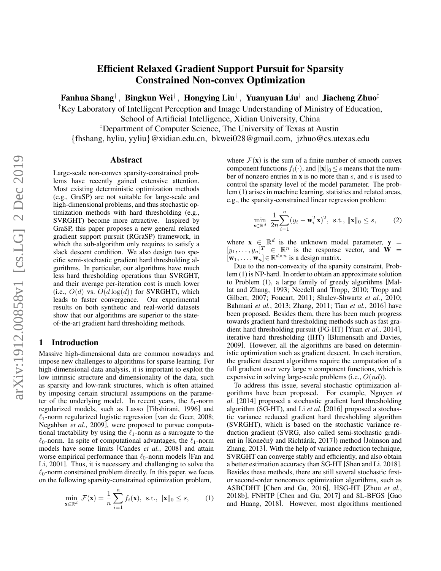# Efficient Relaxed Gradient Support Pursuit for Sparsity Constrained Non-convex Optimization

Fanhua Shang†, Bingkun Wei†, Hongying Liu†, Yuanyuan Liu† and Jiacheng Zhuo‡

†Key Laboratory of Intelligent Perception and Image Understanding of Ministry of Education,

School of Artificial Intelligence, Xidian University, China ‡Department of Computer Science, The University of Texas at Austin

{fhshang, hyliu, yyliu}@xidian.edu.cn, bkwei028@gmail.com, jzhuo@cs.utexas.edu

#### Abstract

Large-scale non-convex sparsity-constrained problems have recently gained extensive attention. Most existing deterministic optimization methods (e.g., GraSP) are not suitable for large-scale and high-dimensional problems, and thus stochastic optimization methods with hard thresholding (e.g., SVRGHT) become more attractive. Inspired by GraSP, this paper proposes a new general relaxed gradient support pursuit (RGraSP) framework, in which the sub-algorithm only requires to satisfy a slack descent condition. We also design two specific semi-stochastic gradient hard thresholding algorithms. In particular, our algorithms have much less hard thresholding operations than SVRGHT, and their average per-iteration cost is much lower (i.e.,  $O(d)$  vs.  $O(d \log(d))$  for SVRGHT), which leads to faster convergence. Our experimental results on both synthetic and real-world datasets show that our algorithms are superior to the stateof-the-art gradient hard thresholding methods.

## 1 Introduction

Massive high-dimensional data are common nowadays and impose new challenges to algorithms for sparse learning. For high-dimensional data analysis, it is important to exploit the low intrinsic structure and dimensionality of the data, such as sparsity and low-rank structures, which is often attained by imposing certain structural assumptions on the parameter of the underlying model. In recent years, the  $\ell_1$ -norm regularized models, such as Lasso [\[Tibshirani, 1996\]](#page-6-0) and  $\ell_1$ -norm regularized logistic regression [\[van de Geer, 2008;](#page-6-1) [Negahban](#page-5-0) *et al.*, 2009], were proposed to pursue computational tractability by using the  $\ell_1$ -norm as a surrogate to the  $\ell_0$ -norm. In spite of computational advantages, the  $\ell_1$ -norm models have some limits [\[Candes](#page-5-1) *et al.*, 2008] and attain worse empirical performance than  $\ell_0$ -norm models [\[Fan and](#page-5-2) [Li, 2001\]](#page-5-2). Thus, it is necessary and challenging to solve the  $\ell_0$ -norm constrained problem directly. In this paper, we focus on the following sparsity-constrained optimization problem,

<span id="page-0-0"></span>
$$
\min_{\mathbf{x} \in \mathbb{R}^d} \mathcal{F}(\mathbf{x}) = \frac{1}{n} \sum_{i=1}^n f_i(\mathbf{x}), \text{ s.t., } \|\mathbf{x}\|_0 \le s,
$$
 (1)

where  $\mathcal{F}(\mathbf{x})$  is the sum of a finite number of smooth convex component functions  $f_i(\cdot)$ , and  $\|\mathbf{x}\|_0 \leq s$  means that the number of nonzero entries in  $x$  is no more than  $s$ , and  $s$  is used to control the sparsity level of the model parameter. The problem [\(1\)](#page-0-0) arises in machine learning, statistics and related areas, e.g., the sparsity-constrained linear regression problem:

<span id="page-0-1"></span>
$$
\min_{\mathbf{x} \in \mathbb{R}^d} \frac{1}{2n} \sum_{i=1}^n (y_i - \mathbf{w}_i^T \mathbf{x})^2, \text{ s.t., } \|\mathbf{x}\|_0 \le s,
$$
 (2)

where  $\mathbf{x} \in \mathbb{R}^d$  is the unknown model parameter,  $\mathbf{y} =$  $[y_1, \ldots, y_n]^T \in \mathbb{R}^n$  is the response vector, and  $\mathbf{W} =$  $[\mathbf{w}_1, \dots, \mathbf{w}_n] \in \mathbb{R}^{d \times n}$  is a design matrix.

Due to the non-convexity of the sparsity constraint, Problem [\(1\)](#page-0-0) is NP-hard. In order to obtain an approximate solution to Problem [\(1\)](#page-0-0), a large family of greedy algorithms [\[Mal](#page-5-3)[lat and Zhang, 1993;](#page-5-3) [Needell and Tropp, 2010;](#page-5-4) [Tropp and](#page-6-2) [Gilbert, 2007;](#page-6-2) [Foucart, 2011;](#page-5-5) [Shalev-Shwartz](#page-6-3) *et al.*, 2010; [Bahmani](#page-5-6) *et al.*, 2013; [Zhang, 2011;](#page-6-4) Tian *et al.*[, 2016\]](#page-6-5) have been proposed. Besides them, there has been much progress towards gradient hard thresholding methods such as fast gradient hard thresholding pursuit (FG-HT) [Yuan *et al.*[, 2014\]](#page-6-6), iterative hard thresholding (IHT) [\[Blumensath and Davies,](#page-5-7) [2009\]](#page-5-7). However, all the algorithms are based on deterministic optimization such as gradient descent. In each iteration, the gradient descent algorithms require the computation of a full gradient over very large  $n$  component functions, which is expensive in solving large-scale problems (i.e.,  $O(nd)$ ).

To address this issue, several stochastic optimization algorithms have been proposed. For example, Nguyen *et al.* [\[2014\]](#page-5-8) proposed a stochastic gradient hard thresholding algorithm (SG-HT), and Li *et al.* [\[2016\]](#page-5-9) proposed a stochastic variance reduced gradient hard thresholding algorithm (SVRGHT), which is based on the stochastic variance reduction gradient (SVRG, also called semi-stochastic gradi-ent in [Konečnỳ and Richtárik, 2017]) method [\[Johnson and](#page-5-11) [Zhang, 2013\]](#page-5-11). With the help of variance reduction technique, SVRGHT can converge stably and efficiently, and also obtain a better estimation accuracy than SG-HT [\[Shen and Li, 2018\]](#page-6-7). Besides these methods, there are still several stochastic firstor second-order nonconvex optimization algorithms, such as ASBCDHT [\[Chen and Gu, 2016\]](#page-5-12), HSG-HT [\[Zhou](#page-6-8) *et al.*, [2018b\]](#page-6-8), FNHTP [\[Chen and Gu, 2017\]](#page-5-13) and SL-BFGS [\[Gao](#page-5-14) [and Huang, 2018\]](#page-5-14). However, most algorithms mentioned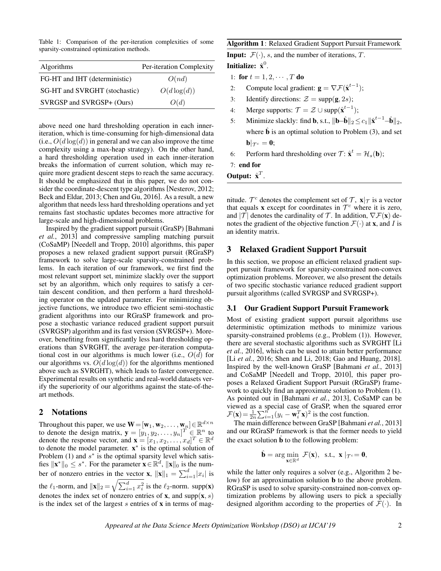Table 1: Comparison of the per-iteration complexities of some sparsity-constrained optimization methods.

| Algorithms                    | Per-iteration Complexity |  |
|-------------------------------|--------------------------|--|
| FG-HT and IHT (deterministic) | O(nd)                    |  |
| SG-HT and SVRGHT (stochastic) | $O(d \log(d))$           |  |
| SVRGSP and SVRGSP+ (Ours)     | O(d)                     |  |

above need one hard thresholding operation in each inneriteration, which is time-consuming for high-dimensional data (i.e.,  $O(d \log(d))$  in general and we can also improve the time complexity using a max-heap strategy). On the other hand, a hard thresholding operation used in each inner-iteration breaks the information of current solution, which may require more gradient descent steps to reach the same accuracy. It should be emphasized that in this paper, we do not consider the coordinate-descent type algorithms [\[Nesterov, 2012;](#page-5-15) [Beck and Eldar, 2013;](#page-5-16) [Chen and Gu, 2016\]](#page-5-12). As a result, a new algorithm that needs less hard thresholding operations and yet remains fast stochastic updates becomes more attractive for large-scale and high-dimensional problems.

Inspired by the gradient support pursuit (GraSP) [\[Bahmani](#page-5-6) *et al.*[, 2013\]](#page-5-6) and compressive sampling matching pursuit (CoSaMP) [\[Needell and Tropp, 2010\]](#page-5-4) algorithms, this paper proposes a new relaxed gradient support pursuit (RGraSP) framework to solve large-scale sparsity-constrained problems. In each iteration of our framework, we first find the most relevant support set, minimize slackly over the support set by an algorithm, which only requires to satisfy a certain descent condition, and then perform a hard thresholding operator on the updated parameter. For minimizing objective functions, we introduce two efficient semi-stochastic gradient algorithms into our RGraSP framework and propose a stochastic variance reduced gradient support pursuit (SVRGSP) algorithm and its fast version (SVRGSP+). Moreover, benefiting from significantly less hard thresholding operations than SVRGHT, the average per-iteration computational cost in our algorithms is much lower (i.e.,  $O(d)$  for our algorithms vs.  $O(d \log(d))$  for the algorithms mentioned above such as SVRGHT), which leads to faster convergence. Experimental results on synthetic and real-world datasets verify the superiority of our algorithms against the state-of-theart methods.

#### 2 Notations

Throughout this paper, we use  $\mathbf{W} = [\mathbf{w}_1, \mathbf{w}_2, \dots, \mathbf{w}_n] \in \mathbb{R}^{d \times n}$ to denote the design matrix,  $\mathbf{y} = [\dot{y}_1, \dot{y}_2, \dots, \dot{y}_n]^T \in \mathbb{R}^n$  to denote the response vector, and  $\mathbf{x} = [x_1, x_2, \dots, x_d]^T \in \mathbb{R}^d$ to denote the model parameter.  $x^*$  is the optimal solution of Problem [\(1\)](#page-0-0) and  $s^*$  is the optimal sparsity level which satisfies  $\|\mathbf{x}^*\|_0 \leq s^*$ . For the parameter  $\mathbf{x} \in \mathbb{R}^d$ ,  $\|\mathbf{x}\|_0$  is the number of nonzero entries in the vector **x**,  $||\mathbf{x}||_1 = \sum_{i=1}^d |x_i|$  is the  $\ell_1$ -norm, and  $\|\mathbf{x}\|_2 = \sqrt{\sum_{i=1}^d x_i^2}$  is the  $\ell_2$ -norm. supp(**x**) denotes the index set of nonzero entries of **x**, and  $supp(x, s)$ is the index set of the largest  $s$  entries of  $x$  in terms of mag-

#### <span id="page-1-0"></span>Algorithm 1: Relaxed Gradient Support Pursuit Framework

**Input:**  $\mathcal{F}(\cdot)$ , s, and the number of iterations, T. Initialize:  $\hat{\textbf{x}}^{0}.$ 

- 1: for  $t = 1, 2, \cdots, T$  do
- 2: Compute local gradient:  $\mathbf{g} = \nabla \mathcal{F}(\hat{\mathbf{x}}^{t-1});$
- 3: Identify directions:  $\mathcal{Z} = \text{supp}(\mathbf{g}, 2s)$ ;
- 4: Merge supports:  $\mathcal{T} = \mathcal{Z} \cup \text{supp}(\hat{\mathbf{x}}^{t-1});$
- 5: Minimize slackly: find **b**, s.t.,  $\|\mathbf{b}-\hat{\mathbf{b}}\|_2 \leq c_1 \|\hat{\mathbf{x}}^{t-1}-\hat{\mathbf{b}}\|_2$ , where  $\hat{\mathbf{b}}$  is an optimal solution to Problem [\(3\)](#page-2-0), and set  $\mathbf{b}|_{\mathcal{T}^c} = \mathbf{0};$
- 6: Perform hard thresholding over  $\mathcal{T}$ :  $\hat{\mathbf{x}}^t = \mathcal{H}_s(\mathbf{b})$ ;

7: end for

Output:  $\hat{\mathbf{x}}^T$ .

mitude.  $\mathcal{T}^c$  denotes the complement set of  $\mathcal{T}$ ,  $\mathbf{x}|\mathcal{T}$  is a vector that equals **x** except for coordinates in  $\mathcal{T}^c$  where it is zero, and  $|\mathcal{T}|$  denotes the cardinality of  $\mathcal{T}$ . In addition,  $\nabla \mathcal{F}(\mathbf{x})$  denotes the gradient of the objective function  $\mathcal{F}(\cdot)$  at **x**, and *I* is an identity matrix.

## 3 Relaxed Gradient Support Pursuit

In this section, we propose an efficient relaxed gradient support pursuit framework for sparsity-constrained non-convex optimization problems. Moreover, we also present the details of two specific stochastic variance reduced gradient support pursuit algorithms (called SVRGSP and SVRGSP+).

#### 3.1 Our Gradient Support Pursuit Framework

Most of existing gradient support pursuit algorithms use deterministic optimization methods to minimize various sparsity-constrained problems (e.g., Problem (1)). However, there are several stochastic algorithms such as SVRGHT [\[Li](#page-5-9) *et al.*[, 2016\]](#page-5-9), which can be used to attain better performance [Li *et al.*[, 2016;](#page-5-9) [Shen and Li, 2018;](#page-6-7) [Gao and Huang, 2018\]](#page-5-14). Inspired by the well-known GraSP [\[Bahmani](#page-5-6) *et al.*, 2013] and CoSaMP [\[Needell and Tropp, 2010\]](#page-5-4), this paper proposes a Relaxed Gradient Support Pursuit (RGraSP) framework to quickly find an approximate solution to Problem (1). As pointed out in [\[Bahmani](#page-5-6) *et al.*, 2013], CoSaMP can be viewed as a special case of GraSP, when the squared error  $\mathcal{F}(\mathbf{x}) = \frac{1}{2n} \sum_{i=1}^{n} (y_i - \mathbf{w}_i^T \mathbf{x})^2$  is the cost function.

The main difference between GraSP [\[Bahmani](#page-5-6) *et al.*, 2013] and our RGraSP framework is that the former needs to yield the exact solution  $\hat{b}$  to the following problem:

$$
\hat{\mathbf{b}} = \arg\min_{\mathbf{x} \in \mathbb{R}^d} \ \mathcal{F}(\mathbf{x}), \ \ \text{s.t.,} \ \ \mathbf{x} \mid_{\mathcal{T}^c} = \mathbf{0},
$$

while the latter only requires a solver (e.g., Algorithm 2 below) for an approximation solution b to the above problem. RGraSP is used to solve sparsity-constrained non-convex optimization problems by allowing users to pick a specially designed algorithm according to the properties of  $\mathcal{F}(\cdot)$ . In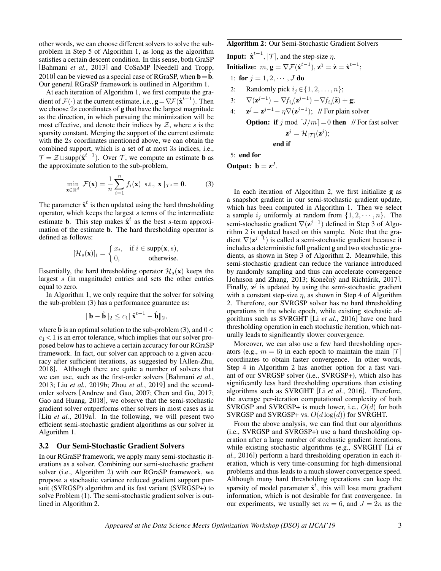other words, we can choose different solvers to solve the subproblem in Step 5 of Algorithm 1, as long as the algorithm satisfies a certain descent condition. In this sense, both GraSP [\[Bahmani](#page-5-6) et al., 2013] and CoSaMP [\[Needell and Tropp,](#page-5-4) [2010\]](#page-5-4) can be viewed as a special case of RGraSP, when  $\mathbf{b} = \mathbf{b}$ . Our general RGraSP framework is outlined in Algorithm [1.](#page-1-0)

At each iteration of Algorithm [1,](#page-1-0) we first compute the gradient of  $\mathcal{F}(\cdot)$  at the current estimate, i.e.,  $\mathbf{g} = \nabla \mathcal{F}(\hat{\mathbf{x}}^{t-1})$ . Then we choose  $2s$  coordinates of  $g$  that have the largest magnitude as the direction, in which pursuing the minimization will be most effective, and denote their indices by  $Z$ , where s is the sparsity constant. Merging the support of the current estimate with the 2s coordinates mentioned above, we can obtain the combined support, which is a set of at most 3s indices, i.e.,  $\mathcal{T} = \mathcal{Z} \cup \text{supp}(\hat{\mathbf{x}}^{t-1})$ . Over  $\mathcal{T}$ , we compute an estimate **b** as the approximate solution to the sub-problem,

$$
\min_{\mathbf{x} \in \mathbb{R}^d} \mathcal{F}(\mathbf{x}) = \frac{1}{n} \sum_{i=1}^n f_i(\mathbf{x}) \text{ s.t., } \mathbf{x} \mid \tau^c = \mathbf{0}. \tag{3}
$$

The parameter  $\hat{x}^t$  is then updated using the hard thresholding operator, which keeps the largest s terms of the intermediate estimate **b**. This step makes  $\hat{\mathbf{x}}^t$  as the best s-term approximation of the estimate b. The hard thresholding operator is defined as follows:

$$
[\mathcal{H}_s(\mathbf{x})]_i = \begin{cases} x_i, & \text{if } i \in \text{supp}(\mathbf{x}, s), \\ 0, & \text{otherwise.} \end{cases}
$$

Essentially, the hard thresholding operator  $\mathcal{H}_s(\mathbf{x})$  keeps the largest s (in magnitude) entries and sets the other entries equal to zero.

In Algorithm [1,](#page-1-0) we only require that the solver for solving the sub-problem [\(3\)](#page-2-0) has a performance guarantee as:

$$
\|\mathbf{b} - \hat{\mathbf{b}}\|_2 \le c_1 \|\hat{\mathbf{x}}^{t-1} - \hat{\mathbf{b}}\|_2,
$$

where  $\hat{\mathbf{b}}$  is an optimal solution to the sub-problem [\(3\)](#page-2-0), and  $0 <$  $c_1$  < 1 is an error tolerance, which implies that our solver proposed below has to achieve a certain accuracy for our RGraSP framework. In fact, our solver can approach to a given accuracy after sufficient iterations, as suggested by [\[Allen-Zhu,](#page-5-17) [2018\]](#page-5-17). Although there are quite a number of solvers that we can use, such as the first-order solvers [\[Bahmani](#page-5-6) *et al.*, [2013;](#page-5-6) Liu *et al.*[, 2019b;](#page-5-18) Zhou *et al.*[, 2019\]](#page-6-9) and the secondorder solvers [\[Andrew and Gao, 2007;](#page-5-19) [Chen and Gu, 2017;](#page-5-13) [Gao and Huang, 2018\]](#page-5-14), we observe that the semi-stochastic gradient solver outperforms other solvers in most cases as in [Liu *et al.*[, 2019a\]](#page-5-20). In the following, we will present two efficient semi-stochastic gradient algorithms as our solver in Algorithm [1.](#page-1-0)

#### 3.2 Our Semi-Stochastic Gradient Solvers

In our RGraSP framework, we apply many semi-stochastic iterations as a solver. Combining our semi-stochastic gradient solver (i.e., Algorithm [2\)](#page-2-1) with our RGraSP framework, we propose a stochastic variance reduced gradient support pursuit (SVRGSP) algorithm and its fast variant (SVRGSP+) to solve Problem [\(1\)](#page-0-0). The semi-stochastic gradient solver is outlined in Algorithm [2.](#page-2-1)

## <span id="page-2-1"></span>Algorithm 2: Our Semi-Stochastic Gradient Solvers

**Input:**  $\hat{\mathbf{x}}^{t-1}$ ,  $|\mathcal{T}|$ , and the step-size  $\eta$ . Initialize:  $m, \mathbf{g} = \nabla \mathcal{F}(\hat{\mathbf{x}}^{t-1}), \mathbf{z}^0 = \tilde{\mathbf{z}} = \hat{\mathbf{x}}^{t-1};$ 1: for  $j = 1, 2, \cdots, J$  do 2: Randomly pick  $i_j \in \{1, 2, \ldots, n\};$ 3:  $\nabla(\mathbf{z}^{j-1}) = \nabla f_{i_j}(\mathbf{z}^{j-1}) - \nabla f_{i_j}(\tilde{\mathbf{z}}) + \mathbf{g};$  $4:$  $j = \mathbf{z}^{j-1} - \eta \nabla(\mathbf{z}^{j-1})$ ; // For plain solver **Option:** if j mod  $[J/m] = 0$  then // For fast solver  $\mathbf{z}^j = \mathcal{H}_{|\mathcal{T}|}(\mathbf{z}^j);$ end if 5: end for

Output:  $\mathbf{b} = \mathbf{z}^{J}$ .

<span id="page-2-0"></span>In each iteration of Algorithm [2,](#page-2-1) we first initialize g as a snapshot gradient in our semi-stochastic gradient update, which has been computed in Algorithm [1.](#page-1-0) Then we select a sample  $i_j$  uniformly at random from  $\{1, 2, \cdots, n\}$ . The semi-stochastic gradient  $\nabla(\mathbf{z}^{j-1})$  defined in Step 3 of Algorithm [2](#page-2-1) is updated based on this sample. Note that the gradient  $\nabla(\mathbf{z}^{j-1})$  is called a semi-stochastic gradient because it includes a deterministic full gradient g and two stochastic gradients, as shown in Step 3 of Algorithm [2.](#page-2-1) Meanwhile, this semi-stochastic gradient can reduce the variance introduced by randomly sampling and thus can accelerate convergence [\[Johnson and Zhang, 2013;](#page-5-11) Konečný and Richtárik, 2017]. Finally,  $z^j$  is updated by using the semi-stochastic gradient with a constant step-size  $\eta$ , as shown in Step 4 of Algorithm [2.](#page-2-1) Therefore, our SVRGSP solver has no hard thresholding operations in the whole epoch, while existing stochastic algorithms such as SVRGHT [Li *et al.*[, 2016\]](#page-5-9) have one hard thresholding operation in each stochastic iteration, which naturally leads to significantly slower convergence.

Moreover, we can also use a few hard thresholding operators (e.g.,  $m = 6$ ) in each epoch to maintain the main |T| coordinates to obtain faster convergence. In other words, Step 4 in Algorithm [2](#page-2-1) has another option for a fast variant of our SVRGSP solver (i.e., SVRGSP+), which also has significantly less hard thresholding operations than existing algorithms such as SVRGHT [Li *et al.*[, 2016\]](#page-5-9). Therefore, the average per-iteration computational complexity of both SVRGSP and SVRGSP+ is much lower, i.e.,  $O(d)$  for both SVRGSP and SVRGSP+ vs.  $O(d \log(d))$  for SVRGHT.

From the above analysis, we can find that our algorithms (i.e., SVRGSP and SVRGSP+) use a hard thresholding operation after a large number of stochastic gradient iterations, while existing stochastic algorithms (e.g., SVRGHT [\[Li](#page-5-9) *et al.*[, 2016\]](#page-5-9)) perform a hard thresholding operation in each iteration, which is very time-consuming for high-dimensional problems and thus leads to a much slower convergence speed. Although many hard thresholding operations can keep the sparsity of model parameter  $\hat{x}^t$ , this will lose more gradient information, which is not desirable for fast convergence. In our experiments, we usually set  $m = 6$ , and  $J = 2n$  as the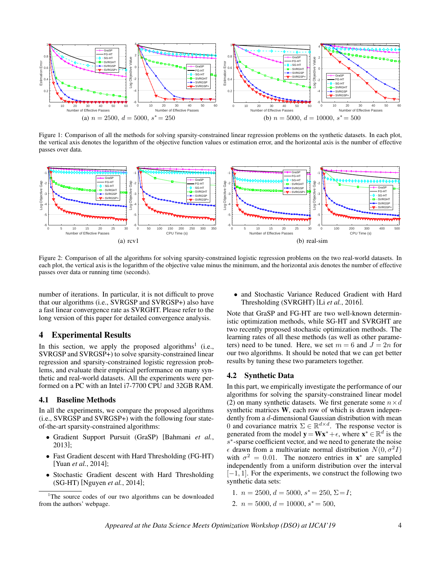<span id="page-3-1"></span>

Figure 1: Comparison of all the methods for solving sparsity-constrained linear regression problems on the synthetic datasets. In each plot, the vertical axis denotes the logarithm of the objective function values or estimation error, and the horizontal axis is the number of effective passes over data.

<span id="page-3-2"></span>

Figure 2: Comparison of all the algorithms for solving sparsity-constrained logistic regression problems on the two real-world datasets. In each plot, the vertical axis is the logarithm of the objective value minus the minimum, and the horizontal axis denotes the number of effective passes over data or running time (seconds).

number of iterations. In particular, it is not difficult to prove that our algorithms (i.e., SVRGSP and SVRGSP+) also have a fast linear convergence rate as SVRGHT. Please refer to the long version of this paper for detailed convergence analysis.

## 4 Experimental Results

In this section, we apply the proposed algorithms<sup>[1](#page-3-0)</sup> (i.e., SVRGSP and SVRGSP+) to solve sparsity-constrained linear regression and sparsity-constrained logistic regression problems, and evaluate their empirical performance on many synthetic and real-world datasets. All the experiments were performed on a PC with an Intel i7-7700 CPU and 32GB RAM.

#### 4.1 Baseline Methods

In all the experiments, we compare the proposed algorithms (i.e., SVRGSP and SVRGSP+) with the following four stateof-the-art sparsity-constrained algorithms:

- Gradient Support Pursuit (GraSP) [\[Bahmani](#page-5-6) *et al.*, [2013\]](#page-5-6);
- Fast Gradient descent with Hard Thresholding (FG-HT) [Yuan *et al.*[, 2014\]](#page-6-6);
- Stochastic Gradient descent with Hard Thresholding (SG-HT) [\[Nguyen](#page-5-8) *et al.*, 2014];

• and Stochastic Variance Reduced Gradient with Hard Thresholding (SVRGHT) [Li *et al.*[, 2016\]](#page-5-9).

Note that GraSP and FG-HT are two well-known deterministic optimization methods, while SG-HT and SVRGHT are two recently proposed stochastic optimization methods. The learning rates of all these methods (as well as other parameters) need to be tuned. Here, we set  $m = 6$  and  $J = 2n$  for our two algorithms. It should be noted that we can get better results by tuning these two parameters together.

#### 4.2 Synthetic Data

In this part, we empirically investigate the performance of our algorithms for solving the sparsity-constrained linear model [\(2\)](#page-0-1) on many synthetic datasets. We first generate some  $n \times d$ synthetic matrices W, each row of which is drawn independently from a d-dimensional Gaussian distribution with mean 0 and covariance matrix  $\Sigma \in \mathbb{R}^{d \times d}$ . The response vector is generated from the model  $\mathbf{y} = \mathbf{W} \mathbf{x}^* + \epsilon$ , where  $\mathbf{x}^* \in \mathbb{R}^d$  is the s<sup>\*</sup>-sparse coefficient vector, and we need to generate the noise  $\epsilon$  drawn from a multivariate normal distribution  $N(0, \sigma^2 I)$ with  $\sigma^2 = 0.01$ . The nonzero entries in  $\mathbf{x}^*$  are sampled independently from a uniform distribution over the interval  $[-1, 1]$ . For the experiments, we construct the following two synthetic data sets:

1. 
$$
n = 2500, d = 5000, s^* = 250, \Sigma = I;
$$
  
2.  $n = 5000, d = 10000, s^* = 500,$ 

<span id="page-3-0"></span><sup>&</sup>lt;sup>1</sup>The source codes of our two algorithms can be downloaded from the authors' webpage.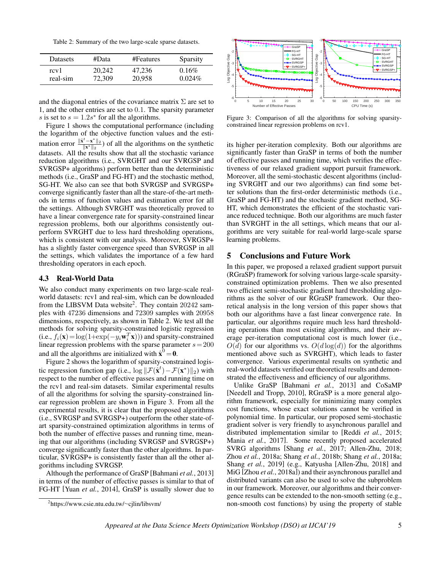<span id="page-4-1"></span>Table 2: Summary of the two large-scale sparse datasets.

| <b>Datasets</b> | #Data  | #Features | Sparsity  |
|-----------------|--------|-----------|-----------|
| rcy1            | 20.242 | 47.236    | $0.16\%$  |
| real-sim        | 72,309 | 20,958    | $0.024\%$ |

and the diagonal entries of the covariance matrix  $\Sigma$  are set to 1, and the other entries are set to 0.1. The sparsity parameter s is set to  $s = 1.2s^*$  for all the algorithms.

Figure [1](#page-3-1) shows the computational performance (including the logarithm of the objective function values and the estimation error  $\frac{\|\hat{\mathbf{x}}^t - \mathbf{x}^*\|_2}{\|\mathbf{x}^*\|_2}$  of all the algorithms on the synthetic datasets. All the results show that all the stochastic variance reduction algorithms (i.e., SVRGHT and our SVRGSP and SVRGSP+ algorithms) perform better than the deterministic methods (i.e., GraSP and FG-HT) and the stochastic method, SG-HT. We also can see that both SVRGSP and SVRGSP+ converge significantly faster than all the stare-of-the-art methods in terms of function values and estimation error for all the settings. Although SVRGHT was theoretically proved to have a linear convergence rate for sparsity-constrained linear regression problems, both our algorithms consistently outperform SVRGHT due to less hard thresholding operations, which is consistent with our analysis. Moreover, SVRGSP+ has a slightly faster convergence speed than SVRGSP in all the settings, which validates the importance of a few hard thresholding operators in each epoch.

#### 4.3 Real-World Data

We also conduct many experiments on two large-scale realworld datasets: rcv1 and real-sim, which can be downloaded from the LIBSVM Data website<sup>[2](#page-4-0)</sup>. They contain 20242 samples with 47236 dimensions and 72309 samples with 20958 dimensions, respectively, as shown in Table [2.](#page-4-1) We test all the methods for solving sparsity-constrained logistic regression (i.e.,  $f_i(\mathbf{x}) = \log(1 + \exp(-y_i \mathbf{w}_i^T \mathbf{x}))$ ) and sparsity-constrained linear regression problems with the sparse parameter  $s = 200$ and all the algorithms are initialized with  $\hat{x}^0 = 0$ .

Figure [2](#page-3-2) shows the logarithm of sparsity-constrained logistic regression function gap (i.e.,  $\log \|\mathcal{F}(\hat{\mathbf{x}}^t) - \mathcal{F}(\mathbf{x}^*)\|_2$ ) with respect to the number of effective passes and running time on the rcv1 and real-sim datasets. Similar experimental results of all the algorithms for solving the sparsity-constrained linear regression problem are shown in Figure [3.](#page-4-2) From all the experimental results, it is clear that the proposed algorithms (i.e., SVRGSP and SVRGSP+) outperform the other state-ofart sparsity-constrained optimization algorithms in terms of both the number of effective passes and running time, meaning that our algorithms (including SVRGSP and SVRGSP+) converge significantly faster than the other algorithms. In particular, SVRGSP+ is consistently faster than all the other algorithms including SVRGSP.

Although the performance of GraSP [\[Bahmani](#page-5-6) *et al.*, 2013] in terms of the number of effective passes is similar to that of FG-HT [Yuan *et al.*[, 2014\]](#page-6-6), GraSP is usually slower due to

<span id="page-4-0"></span>

<span id="page-4-2"></span>

Figure 3: Comparison of all the algorithms for solving sparsityconstrained linear regression problems on rcv1.

its higher per-iteration complexity. Both our algorithms are significantly faster than GraSP in terms of both the number of effective passes and running time, which verifies the effectiveness of our relaxed gradient support pursuit framework. Moreover, all the semi-stochastic descent algorithms (including SVRGHT and our two algorithms) can find some better solutions than the first-order deterministic methods (i.e., GraSP and FG-HT) and the stochastic gradient method, SG-HT, which demonstrates the efficient of the stochastic variance reduced technique. Both our algorithms are much faster than SVRGHT in the all settings, which means that our algorithms are very suitable for real-world large-scale sparse learning problems.

### 5 Conclusions and Future Work

In this paper, we proposed a relaxed gradient support pursuit (RGraSP) framework for solving various large-scale sparsityconstrained optimization problems. Then we also presented two efficient semi-stochastic gradient hard thresholding algorithms as the solver of our RGraSP framework. Our theoretical analysis in the long version of this paper shows that both our algorithms have a fast linear convergence rate. In particular, our algorithms require much less hard thresholding operations than most existing algorithms, and their average per-iteration computational cost is much lower (i.e.,  $O(d)$  for our algorithms vs.  $O(d \log(d))$  for the algorithms mentioned above such as SVRGHT), which leads to faster convergence. Various experimental results on synthetic and real-world datasets verified our theoretical results and demonstrated the effectiveness and efficiency of our algorithms.

Unlike GraSP [\[Bahmani](#page-5-6) *et al.*, 2013] and CoSaMP [\[Needell and Tropp, 2010\]](#page-5-4), RGraSP is a more general algorithm framework, especially for minimizing many complex cost functions, whose exact solutions cannot be verified in polynomial time. In particular, our proposed semi-stochastic gradient solver is very friendly to asynchronous parallel and distributed implementation similar to [Reddi *et al.*[, 2015;](#page-6-10) Mania *et al.*[, 2017\]](#page-5-21). Some recently proposed accelerated SVRG algorithms [Shang *et al.*[, 2017;](#page-6-11) [Allen-Zhu, 2018;](#page-5-17) Zhou *et al.*[, 2018a;](#page-6-12) Shang *et al.*[, 2018b;](#page-6-13) Shang *et al.*[, 2018a;](#page-6-14) Shang *et al.*[, 2019\]](#page-6-15) (e.g., Katyusha [\[Allen-Zhu, 2018\]](#page-5-17) and MiG [Zhou *et al.*[, 2018a\]](#page-6-12)) and their asynchronous parallel and distributed variants can also be used to solve the subproblem in our framework. Moreover, our algorithms and their convergence results can be extended to the non-smooth setting (e.g., non-smooth cost functions) by using the property of stable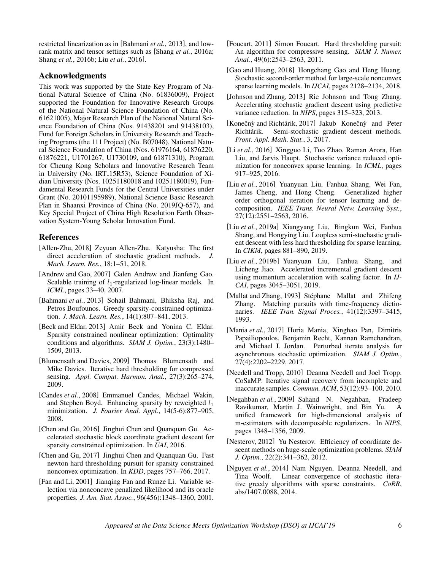restricted linearization as in [\[Bahmani](#page-5-6) *et al.*, 2013], and lowrank matrix and tensor settings such as [Shang *et al.*[, 2016a;](#page-6-16) Shang *et al.*[, 2016b;](#page-6-17) Liu *et al.*[, 2016\]](#page-5-22).

## Acknowledgments

This work was supported by the State Key Program of National Natural Science of China (No. 61836009), Project supported the Foundation for Innovative Research Groups of the National Natural Science Foundation of China (No. 61621005), Major Research Plan of the National Natural Science Foundation of China (Nos. 91438201 and 91438103), Fund for Foreign Scholars in University Research and Teaching Programs (the 111 Project) (No. B07048), National Natural Science Foundation of China (Nos. 61976164, 61876220, 61876221, U1701267, U1730109, and 61871310), Program for Cheung Kong Scholars and Innovative Research Team in University (No. IRT 15R53), Science Foundation of Xidian University (Nos. 10251180018 and 10251180019), Fundamental Research Funds for the Central Universities under Grant (No. 20101195989), National Science Basic Research Plan in Shaanxi Province of China (No. 2019JQ-657), and Key Special Project of China High Resolution Earth Observation System-Young Scholar Innovation Fund.

# References

- <span id="page-5-17"></span>[Allen-Zhu, 2018] Zeyuan Allen-Zhu. Katyusha: The first direct acceleration of stochastic gradient methods. *J. Mach. Learn. Res.*, 18:1–51, 2018.
- <span id="page-5-19"></span>[Andrew and Gao, 2007] Galen Andrew and Jianfeng Gao. Scalable training of  $l_1$ -regularized log-linear models. In *ICML*, pages 33–40, 2007.
- <span id="page-5-6"></span>[Bahmani *et al.*, 2013] Sohail Bahmani, Bhiksha Raj, and Petros Boufounos. Greedy sparsity-constrained optimization. *J. Mach. Learn. Res.*, 14(1):807–841, 2013.
- <span id="page-5-16"></span>[Beck and Eldar, 2013] Amir Beck and Yonina C. Eldar. Sparsity constrained nonlinear optimization: Optimality conditions and algorithms. *SIAM J. Optim.*, 23(3):1480– 1509, 2013.
- <span id="page-5-7"></span>[Blumensath and Davies, 2009] Thomas Blumensath and Mike Davies. Iterative hard thresholding for compressed sensing. *Appl. Comput. Harmon. Anal.*, 27(3):265–274, 2009.
- <span id="page-5-1"></span>[Candes *et al.*, 2008] Emmanuel Candes, Michael Wakin, and Stephen Boyd. Enhancing sparsity by reweighted  $l_1$ minimization. *J. Fourier Anal. Appl.*, 14(5-6):877–905, 2008.
- <span id="page-5-12"></span>[Chen and Gu, 2016] Jinghui Chen and Quanquan Gu. Accelerated stochastic block coordinate gradient descent for sparsity constrained optimization. In *UAI*, 2016.
- <span id="page-5-13"></span>[Chen and Gu, 2017] Jinghui Chen and Quanquan Gu. Fast newton hard thresholding pursuit for sparsity constrained nonconvex optimization. In *KDD*, pages 757–766, 2017.
- <span id="page-5-2"></span>[Fan and Li, 2001] Jianqing Fan and Runze Li. Variable selection via nonconcave penalized likelihood and its oracle properties. *J. Am. Stat. Assoc.*, 96(456):1348–1360, 2001.
- <span id="page-5-5"></span>[Foucart, 2011] Simon Foucart. Hard thresholding pursuit: An algorithm for compressive sensing. *SIAM J. Numer. Anal.*, 49(6):2543–2563, 2011.
- <span id="page-5-14"></span>[Gao and Huang, 2018] Hongchang Gao and Heng Huang. Stochastic second-order method for large-scale nonconvex sparse learning models. In *IJCAI*, pages 2128–2134, 2018.
- <span id="page-5-11"></span>[Johnson and Zhang, 2013] Rie Johnson and Tong Zhang. Accelerating stochastic gradient descent using predictive variance reduction. In *NIPS*, pages 315–323, 2013.
- <span id="page-5-10"></span>[Konečnỳ and Richtárik, 2017] Jakub Konečnỳ and Peter Richtárik. Semi-stochastic gradient descent methods. *Front. Appl. Math. Stat.*, 3, 2017.
- <span id="page-5-9"></span>[Li *et al.*, 2016] Xingguo Li, Tuo Zhao, Raman Arora, Han Liu, and Jarvis Haupt. Stochastic variance reduced optimization for nonconvex sparse learning. In *ICML*, pages 917–925, 2016.
- <span id="page-5-22"></span>[Liu *et al.*, 2016] Yuanyuan Liu, Fanhua Shang, Wei Fan, James Cheng, and Hong Cheng. Generalized higher order orthogonal iteration for tensor learning and decomposition. *IEEE Trans. Neural Netw. Learning Syst.*, 27(12):2551–2563, 2016.
- <span id="page-5-20"></span>[Liu *et al.*, 2019a] Xiangyang Liu, Bingkun Wei, Fanhua Shang, and Hongying Liu. Loopless semi-stochastic gradient descent with less hard thresholding for sparse learning. In *CIKM*, pages 881–890, 2019.
- <span id="page-5-18"></span>[Liu *et al.*, 2019b] Yuanyuan Liu, Fanhua Shang, and Licheng Jiao. Accelerated incremental gradient descent using momentum acceleration with scaling factor. In *IJ-CAI*, pages 3045–3051, 2019.
- <span id="page-5-3"></span>[Mallat and Zhang, 1993] Stéphane Mallat and Zhifeng Zhang. Matching pursuits with time-frequency dictionaries. *IEEE Tran. Signal Proces.*, 41(12):3397–3415, 1993.
- <span id="page-5-21"></span>[Mania *et al.*, 2017] Horia Mania, Xinghao Pan, Dimitris Papailiopoulos, Benjamin Recht, Kannan Ramchandran, and Michael I. Jordan. Perturbed iterate analysis for asynchronous stochastic optimization. *SIAM J. Optim.*, 27(4):2202–2229, 2017.
- <span id="page-5-4"></span>[Needell and Tropp, 2010] Deanna Needell and Joel Tropp. CoSaMP: Iterative signal recovery from incomplete and inaccurate samples. *Commun. ACM*, 53(12):93–100, 2010.
- <span id="page-5-0"></span>[Negahban *et al.*, 2009] Sahand N. Negahban, Pradeep Ravikumar, Martin J. Wainwright, and Bin Yu. A unified framework for high-dimensional analysis of m-estimators with decomposable regularizers. In *NIPS*, pages 1348–1356, 2009.
- <span id="page-5-15"></span>[Nesterov, 2012] Yu Nesterov. Efficiency of coordinate descent methods on huge-scale optimization problems. *SIAM J. Optim.*, 22(2):341–362, 2012.
- <span id="page-5-8"></span>[Nguyen *et al.*, 2014] Nam Nguyen, Deanna Needell, and Tina Woolf. Linear convergence of stochastic iterative greedy algorithms with sparse constraints. *CoRR*, abs/1407.0088, 2014.

*Appeared at the Data Science Meets Optimization Workshop (DSO) at IJCAI'19* 6